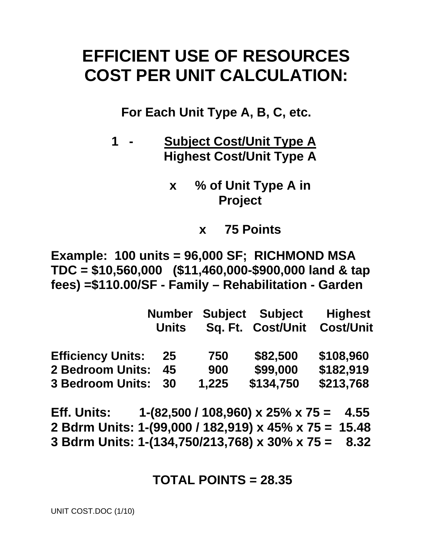# **EFFICIENT USE OF RESOURCES COST PER UNIT CALCULATION:**

**For Each Unit Type A, B, C, etc.** 

- **1 Subject Cost/Unit Type A Highest Cost/Unit Type A** 
	- **x % of Unit Type A in Project** 
		- **x 75 Points**

**Example: 100 units = 96,000 SF; RICHMOND MSA TDC = \$10,560,000 (\$11,460,000-\$900,000 land & tap fees) =\$110.00/SF - Family – Rehabilitation - Garden** 

|                          | <b>Number</b> |       | <b>Subject Subject</b> | <b>Highest</b>   |
|--------------------------|---------------|-------|------------------------|------------------|
|                          | <b>Units</b>  |       | Sq. Ft. Cost/Unit      | <b>Cost/Unit</b> |
| <b>Efficiency Units:</b> | 25            | 750   | \$82,500               | \$108,960        |
| <b>2 Bedroom Units:</b>  | 45            | 900   | \$99,000               | \$182,919        |
| <b>3 Bedroom Units:</b>  | 30            | 1,225 | \$134,750              | \$213,768        |

**Eff. Units: 1-(82,500 / 108,960) x 25% x 75 = 4.55 2 Bdrm Units: 1-(99,000 / 182,919) x 45% x 75 = 15.48 3 Bdrm Units: 1-(134,750/213,768) x 30% x 75 = 8.32** 

### **TOTAL POINTS = 28.35**

UNIT COST.DOC (1/10)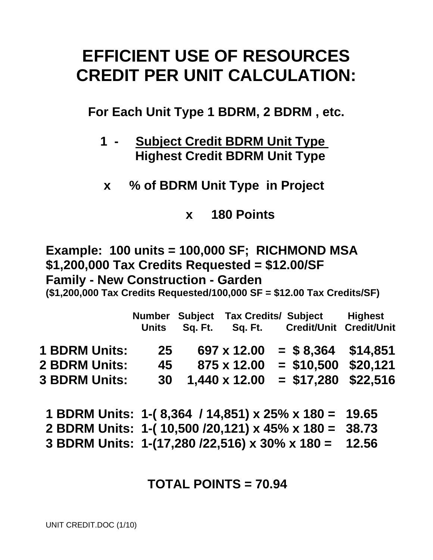# **EFFICIENT USE OF RESOURCES CREDIT PER UNIT CALCULATION:**

**For Each Unit Type 1 BDRM, 2 BDRM , etc.** 

- **1 Subject Credit BDRM Unit Type Highest Credit BDRM Unit Type**
- **x % of BDRM Unit Type in Project**

**x 180 Points** 

**Example: 100 units = 100,000 SF; RICHMOND MSA \$1,200,000 Tax Credits Requested = \$12.00/SF Family - New Construction - Garden** 

**(\$1,200,000 Tax Credits Requested/100,000 SF = \$12.00 Tax Credits/SF)** 

|                                                                      | <b>Units</b>          | Sq. Ft. | Number Subject Tax Credits/ Subject<br>Sq. Ft. | Credit/Unit Credit/Unit                                               | <b>Highest</b> |
|----------------------------------------------------------------------|-----------------------|---------|------------------------------------------------|-----------------------------------------------------------------------|----------------|
| <b>1 BDRM Units:</b><br><b>2 BDRM Units:</b><br><b>3 BDRM Units:</b> | 25<br>45<br><b>30</b> |         | 697 x 12.00<br>875 x 12.00<br>1,440 x 12.00    | $=$ \$8,364 \$14,851<br>$= $10,500$ \$20.121<br>$=$ \$17,280 \$22,516 |                |

**1 BDRM Units: 1-( 8,364 / 14,851) x 25% x 180 = 19.65 2 BDRM Units: 1-( 10,500 /20,121) x 45% x 180 = 38.73 3 BDRM Units: 1-(17,280 /22,516) x 30% x 180 = 12.56** 

## **TOTAL POINTS = 70.94**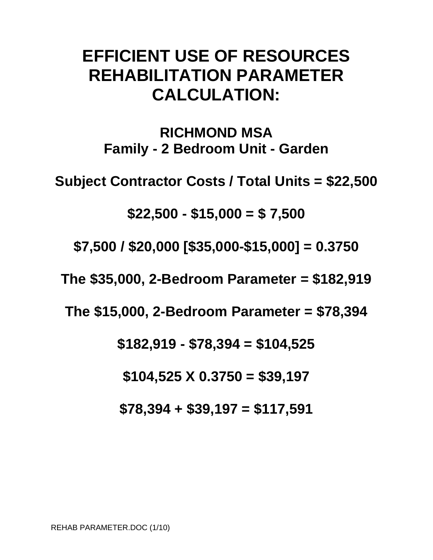# **EFFICIENT USE OF RESOURCES REHABILITATION PARAMETER CALCULATION:**

**RICHMOND MSA Family - 2 Bedroom Unit - Garden** 

**Subject Contractor Costs / Total Units = \$22,500** 

**\$22,500 - \$15,000 = \$ 7,500** 

**\$7,500 / \$20,000 [\$35,000-\$15,000] = 0.3750** 

**The \$35,000, 2-Bedroom Parameter = \$182,919** 

**The \$15,000, 2-Bedroom Parameter = \$78,394** 

**\$182,919 - \$78,394 = \$104,525** 

**\$104,525 X 0.3750 = \$39,197** 

**\$78,394 + \$39,197 = \$117,591**